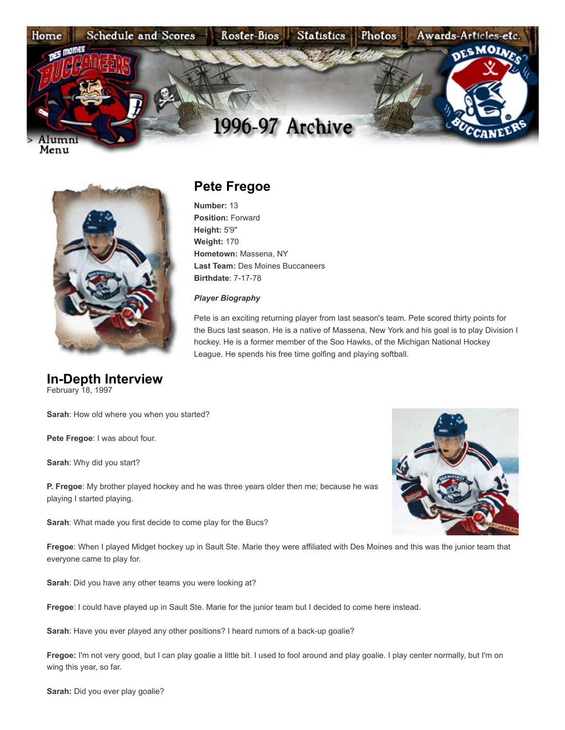

Menu



## **In-Depth Interview** February 18, 1997

**Sarah**: How old where you when you started?

**Pete Fregoe**: I was about four.

**Sarah**: Why did you start?

**P. Fregoe**: My brother played hockey and he was three years older then me; because he was playing I started playing.

**Sarah**: What made you first decide to come play for the Bucs?



**Fregoe**: When I played Midget hockey up in Sault Ste. Marie they were affiliated with Des Moines and this was the junior team that everyone came to play for.

**Sarah**: Did you have any other teams you were looking at?

**Fregoe**: I could have played up in Sault Ste. Marie for the junior team but I decided to come here instead.

**Sarah**: Have you ever played any other positions? I heard rumors of a back-up goalie?

**Fregoe:** I'm not very good, but I can play goalie a little bit. I used to fool around and play goalie. I play center normally, but I'm on wing this year, so far.

**Sarah:** Did you ever play goalie?

## **Pete Fregoe**

**Number:** 13 **Position:** Forward **Height:** 5'9" **Weight:** 170 **Hometown:** Massena, NY **Last Team:** Des Moines Buccaneers **Birthdate**: 7-17-78

## *Player Biography*

Pete is an exciting returning player from last season's team. Pete scored thirty points for the Bucs last season. He is a native of Massena, New York and his goal is to play Division I hockey. He is a former member of the Soo Hawks, of the Michigan National Hockey League. He spends his free time golfing and playing softball.